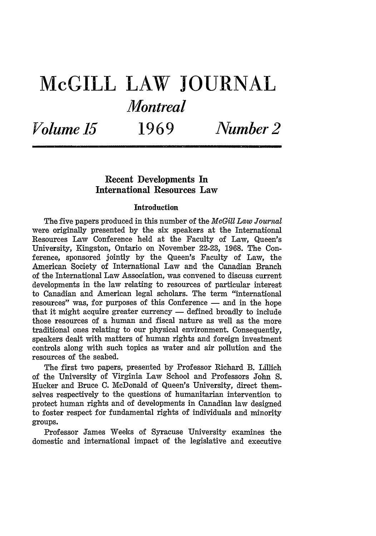## **McGILL LAW JOURNAL** *Montreal*

*Volume 15* **1969** *Number 2*

## **Recent Developments In International Resources Law**

## Introduction

The five papers produced in this number of the *McGill Law Journal* were originally presented by the six speakers at the International Resources Law Conference held at the Faculty of Law, Queen's University, Kingston, Ontario on November 22-23, 1968. The Conference, sponsored jointly by the Queen's Faculty of Law, the American Society of International Law and the Canadian Branch of the International Law Association, was convened to discuss current developments in the law relating to resources of particular interest to Canadian and American legal scholars. The term "international resources" was, for purposes of this Conference - and in the hope that it might acquire greater currency  $-$  defined broadly to include those resources of a human and fiscal nature as well as the more traditional ones relating to our physical environment. Consequently, speakers dealt with matters of human rights and foreign investment controls along with such topics as water and air pollution and the resources of the seabed.

The first two papers, presented by Professor Richard B. Lillich of the University of Virginia Law School and Professors John S. Hucker and Bruce C. McDonald of Queen's University, direct themselves respectively to the questions of humanitarian intervention to protect human rights and of developments in Canadian law designed to foster respect for fundamental rights of individuals and minority groups.

Professor James Weeks of Syracuse University examines the domestic and international impact of the legislative and executive